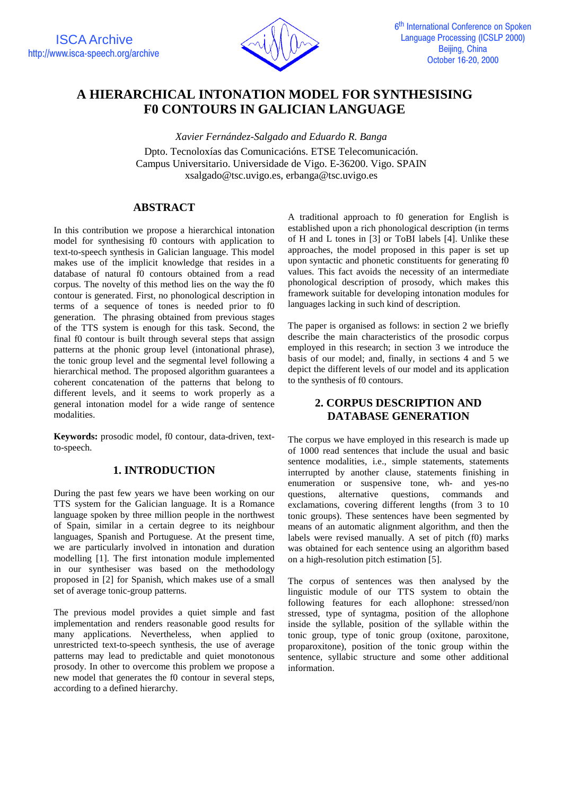

# **A HIERARCHICAL INTONATION MODEL FOR SYNTHESISING F0 CONTOURS IN GALICIAN LANGUAGE**

*Xavier Fernández-Salgado and Eduardo R. Banga* Dpto. Tecnoloxías das Comunicacións. ETSE Telecomunicación. Campus Universitario. Universidade de Vigo. E-36200. Vigo. SPAIN xsalgado@tsc.uvigo.es, erbanga@tsc.uvigo.es

## **ABSTRACT**

In this contribution we propose a hierarchical intonation model for synthesising f0 contours with application to text-to-speech synthesis in Galician language. This model makes use of the implicit knowledge that resides in a database of natural f0 contours obtained from a read corpus. The novelty of this method lies on the way the f0 contour is generated. First, no phonological description in terms of a sequence of tones is needed prior to f0 generation. The phrasing obtained from previous stages of the TTS system is enough for this task. Second, the final f0 contour is built through several steps that assign patterns at the phonic group level (intonational phrase), the tonic group level and the segmental level following a hierarchical method. The proposed algorithm guarantees a coherent concatenation of the patterns that belong to different levels, and it seems to work properly as a general intonation model for a wide range of sentence modalities.

**Keywords:** prosodic model, f0 contour, data-driven, textto-speech.

# **1. INTRODUCTION**

During the past few years we have been working on our TTS system for the Galician language. It is a Romance language spoken by three million people in the northwest of Spain, similar in a certain degree to its neighbour languages, Spanish and Portuguese. At the present time, we are particularly involved in intonation and duration modelling [1]. The first intonation module implemented in our synthesiser was based on the methodology proposed in [2] for Spanish, which makes use of a small set of average tonic-group patterns.

The previous model provides a quiet simple and fast implementation and renders reasonable good results for many applications. Nevertheless, when applied to unrestricted text-to-speech synthesis, the use of average patterns may lead to predictable and quiet monotonous prosody. In other to overcome this problem we propose a new model that generates the f0 contour in several steps, according to a defined hierarchy.

A traditional approach to f0 generation for English is established upon a rich phonological description (in terms of H and L tones in [3] or ToBI labels [4]. Unlike these approaches, the model proposed in this paper is set up upon syntactic and phonetic constituents for generating f0 values. This fact avoids the necessity of an intermediate phonological description of prosody, which makes this framework suitable for developing intonation modules for languages lacking in such kind of description.

The paper is organised as follows: in section 2 we briefly describe the main characteristics of the prosodic corpus employed in this research; in section 3 we introduce the basis of our model; and, finally, in sections 4 and 5 we depict the different levels of our model and its application to the synthesis of f0 contours.

# **2. CORPUS DESCRIPTION AND DATABASE GENERATION**

The corpus we have employed in this research is made up of 1000 read sentences that include the usual and basic sentence modalities, i.e., simple statements, statements interrupted by another clause, statements finishing in enumeration or suspensive tone, wh- and yes-no questions, alternative questions, commands and exclamations, covering different lengths (from 3 to 10 tonic groups). These sentences have been segmented by means of an automatic alignment algorithm, and then the labels were revised manually. A set of pitch (f0) marks was obtained for each sentence using an algorithm based on a high-resolution pitch estimation [5].

The corpus of sentences was then analysed by the linguistic module of our TTS system to obtain the following features for each allophone: stressed/non stressed, type of syntagma, position of the allophone inside the syllable, position of the syllable within the tonic group, type of tonic group (oxitone, paroxitone, proparoxitone), position of the tonic group within the sentence, syllabic structure and some other additional information.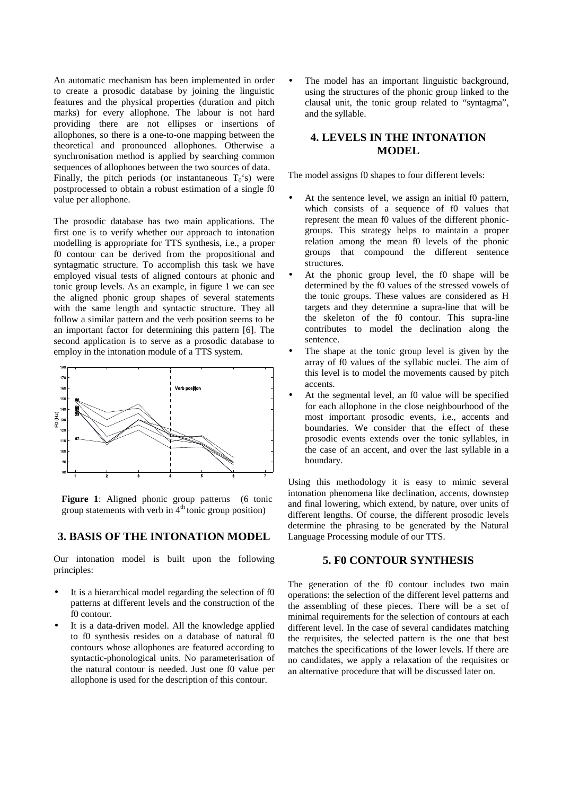An automatic mechanism has been implemented in order to create a prosodic database by joining the linguistic features and the physical properties (duration and pitch marks) for every allophone. The labour is not hard providing there are not ellipses or insertions of allophones, so there is a one-to-one mapping between the theoretical and pronounced allophones. Otherwise a synchronisation method is applied by searching common sequences of allophones between the two sources of data. Finally, the pitch periods (or instantaneous  $T_0$ 's) were postprocessed to obtain a robust estimation of a single f0 value per allophone.

The prosodic database has two main applications. The first one is to verify whether our approach to intonation modelling is appropriate for TTS synthesis, i.e., a proper f0 contour can be derived from the propositional and syntagmatic structure. To accomplish this task we have employed visual tests of aligned contours at phonic and tonic group levels. As an example, in figure 1 we can see the aligned phonic group shapes of several statements with the same length and syntactic structure. They all follow a similar pattern and the verb position seems to be an important factor for determining this pattern [6]. The second application is to serve as a prosodic database to employ in the intonation module of a TTS system.



Figure 1: Aligned phonic group patterns (6 tonic group statements with verb in  $4<sup>th</sup>$  tonic group position)

## **3. BASIS OF THE INTONATION MODEL**

Our intonation model is built upon the following principles:

- It is a hierarchical model regarding the selection of f0 patterns at different levels and the construction of the f0 contour.
- It is a data-driven model. All the knowledge applied to f0 synthesis resides on a database of natural f0 contours whose allophones are featured according to syntactic-phonological units. No parameterisation of the natural contour is needed. Just one f0 value per allophone is used for the description of this contour.

The model has an important linguistic background, using the structures of the phonic group linked to the clausal unit, the tonic group related to "syntagma", and the syllable.

## **4. LEVELS IN THE INTONATION MODEL**

The model assigns f0 shapes to four different levels:

- At the sentence level, we assign an initial f0 pattern, which consists of a sequence of f0 values that represent the mean f0 values of the different phonicgroups. This strategy helps to maintain a proper relation among the mean f0 levels of the phonic groups that compound the different sentence structures.
- At the phonic group level, the f0 shape will be determined by the f0 values of the stressed vowels of the tonic groups. These values are considered as H targets and they determine a supra-line that will be the skeleton of the f0 contour. This supra-line contributes to model the declination along the sentence.
- The shape at the tonic group level is given by the array of f0 values of the syllabic nuclei. The aim of this level is to model the movements caused by pitch accents.
- At the segmental level, an f0 value will be specified for each allophone in the close neighbourhood of the most important prosodic events, i.e., accents and boundaries. We consider that the effect of these prosodic events extends over the tonic syllables, in the case of an accent, and over the last syllable in a boundary.

Using this methodology it is easy to mimic several intonation phenomena like declination, accents, downstep and final lowering, which extend, by nature, over units of different lengths. Of course, the different prosodic levels determine the phrasing to be generated by the Natural Language Processing module of our TTS.

#### **5. F0 CONTOUR SYNTHESIS**

The generation of the f0 contour includes two main operations: the selection of the different level patterns and the assembling of these pieces. There will be a set of minimal requirements for the selection of contours at each different level. In the case of several candidates matching the requisites, the selected pattern is the one that best matches the specifications of the lower levels. If there are no candidates, we apply a relaxation of the requisites or an alternative procedure that will be discussed later on.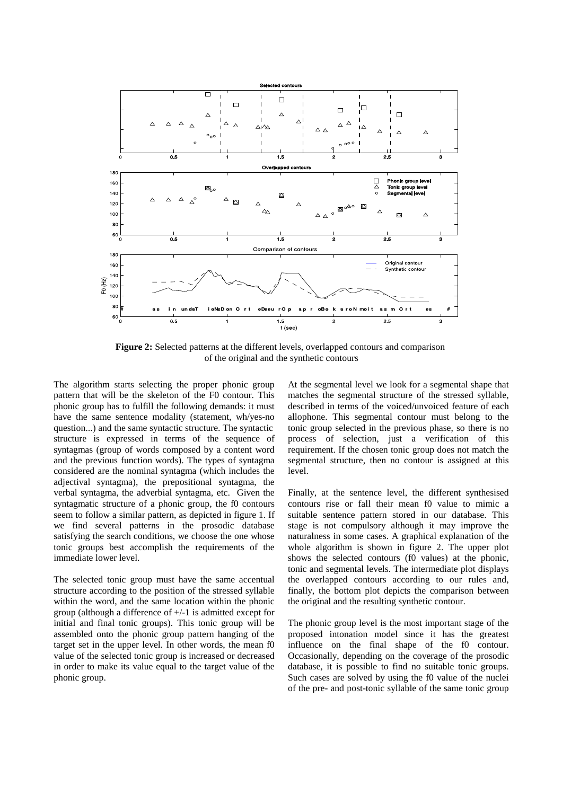

**Figure 2:** Selected patterns at the different levels, overlapped contours and comparison of the original and the synthetic contours

The algorithm starts selecting the proper phonic group pattern that will be the skeleton of the F0 contour. This phonic group has to fulfill the following demands: it must have the same sentence modality (statement, wh/yes-no question...) and the same syntactic structure. The syntactic structure is expressed in terms of the sequence of syntagmas (group of words composed by a content word and the previous function words). The types of syntagma considered are the nominal syntagma (which includes the adjectival syntagma), the prepositional syntagma, the verbal syntagma, the adverbial syntagma, etc. Given the syntagmatic structure of a phonic group, the f0 contours seem to follow a similar pattern, as depicted in figure 1. If we find several patterns in the prosodic database satisfying the search conditions, we choose the one whose tonic groups best accomplish the requirements of the immediate lower level.

The selected tonic group must have the same accentual structure according to the position of the stressed syllable within the word, and the same location within the phonic group (although a difference of +/-1 is admitted except for initial and final tonic groups). This tonic group will be assembled onto the phonic group pattern hanging of the target set in the upper level. In other words, the mean f0 value of the selected tonic group is increased or decreased in order to make its value equal to the target value of the phonic group.

At the segmental level we look for a segmental shape that matches the segmental structure of the stressed syllable, described in terms of the voiced/unvoiced feature of each allophone. This segmental contour must belong to the tonic group selected in the previous phase, so there is no process of selection, just a verification of this requirement. If the chosen tonic group does not match the segmental structure, then no contour is assigned at this level.

Finally, at the sentence level, the different synthesised contours rise or fall their mean f0 value to mimic a suitable sentence pattern stored in our database. This stage is not compulsory although it may improve the naturalness in some cases. A graphical explanation of the whole algorithm is shown in figure 2. The upper plot shows the selected contours (f0 values) at the phonic, tonic and segmental levels. The intermediate plot displays the overlapped contours according to our rules and, finally, the bottom plot depicts the comparison between the original and the resulting synthetic contour.

The phonic group level is the most important stage of the proposed intonation model since it has the greatest influence on the final shape of the f0 contour. Occasionally, depending on the coverage of the prosodic database, it is possible to find no suitable tonic groups. Such cases are solved by using the f0 value of the nuclei of the pre- and post-tonic syllable of the same tonic group